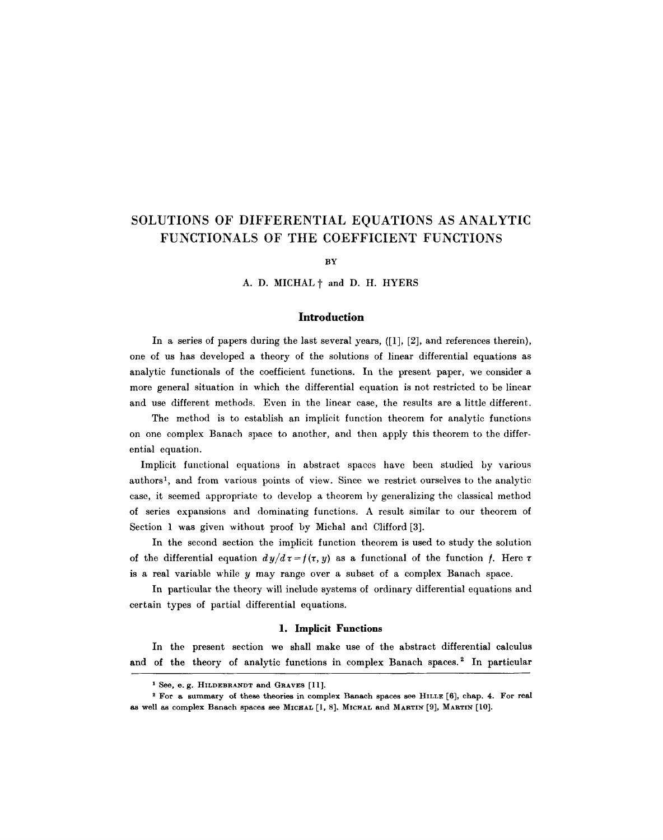# **SOLUTIONS OF DIFFERENTIAL EQUATIONS AS ANALYTIC FUNCTIONALS OF TIIE COEFFICIENT FUNCTIONS**

BY

A. D. MICHAL  $\dagger$  and D. H. HYERS

## **Introduction**

In a series of papers during the last several years, ([1], [2], and references therein), one of us has developed a theory of the solutions of linear differential equations as analytic functionals of the coefficient functions. In the present paper, we consider a more general situation in which the differential equation is not restricted to be linear and use different methods. Even in the linear case, the results are a little different.

The method is to establish an implicit function theorem for analytic functions on one complex Banach space to another, and then apply this theorem to the differential equation.

Implicit functional equations in abstract spaces have been studied by various authors 1, and from various points of view. Since we restrict ourselves to the analytic case, it seemed appropriate to develop a theorem by generalizing the classical method of series expansions and dominating functions. A result similar to our theorem of Section 1 was given without proof by Michal and Clifford [3].

In the second section the implicit function theorem is used to study the solution of the differential equation  $dy/d\tau=f(\tau, y)$  as a functional of the function f. Here  $\tau$ is a real variable while y may range over a subset of a complex Banach space.

In particular the theory will include systems of ordinary differential equations and certain types of partial differential equations.

## **1. Implicit Functions**

In the present section we shall make use of the abstract differential calculus and of the theory of analytic functions in complex Banach spaces.<sup>2</sup> In particular

**<sup>1</sup> See, e. g. HILDEBRANDT and GRAVES [11].** 

<sup>&</sup>lt;sup>2</sup> For a summary of these theories in complex Banach spaces see HILLE [6], chap. 4. For real **as well as complex Banach spaces see MICHAL [l, 8]. MICHAL and MARTIN [9], MARTIN [|0].**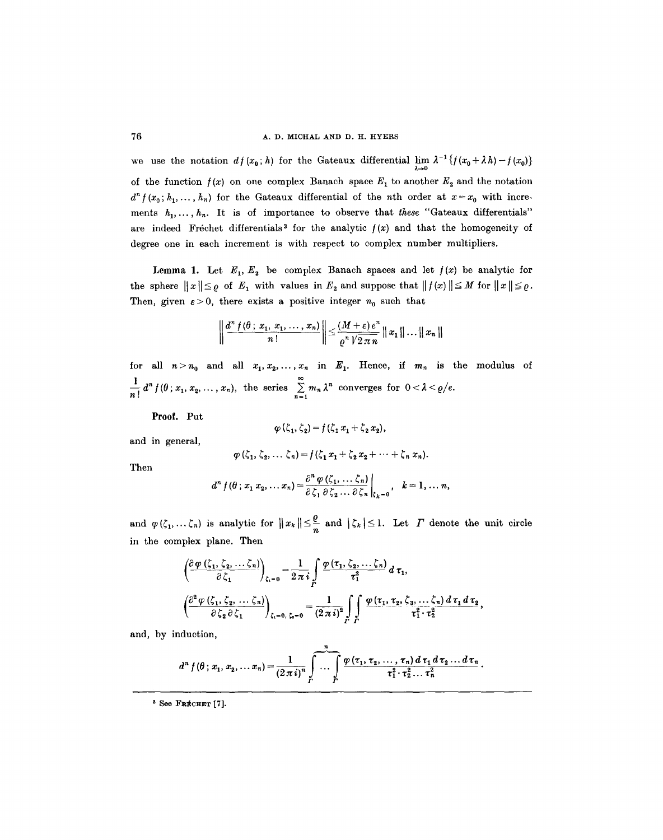we use the notation  $df(x_0; h)$  for the Gateaux differential  $\lim_{\lambda \to 0} \lambda^{-1} \{f(x_0 + \lambda h) - f(x_0)\}\$ of the function  $f(x)$  on one complex Banach space  $E_1$  to another  $E_2$  and the notation  $d^{n} f(x_{0}; h_{1},..., h_{n})$  for the Gateaux differential of the *n*th order at  $x=x_{0}$  with increments  $h_1, \ldots, h_n$ . It is of importance to observe that *these* "Gateaux differentials" are indeed Fréchet differentials<sup>3</sup> for the analytic  $f(x)$  and that the homogeneity of degree one in each increment is with respect to complex number multipliers.

Lemma 1. Let  $E_1, E_2$  be complex Banach spaces and let  $f(x)$  be analytic for the sphere  $||x|| \leq \varrho$  of  $E_1$  with values in  $E_2$  and suppose that  $||f(x)|| \leq M$  for  $||x|| \leq \varrho$ . Then, given  $\varepsilon > 0$ , there exists a positive integer  $n_0$  such that

$$
\left\|\frac{d^n f(\theta\,;\,x_1,\,x_1,\,\ldots\,,\,x_n)}{n\,!}\right\|\leq \frac{(M+\varepsilon)\,e^n}{\varrho^n\,\sqrt{2\,\pi\,n}}\,\|x_1\|\ldots\|\,x_n\,\|
$$

for all  $n > n_0$  and all  $x_1, x_2, ..., x_n$  in  $E_1$ . Hence, if  $m_n$  is the modulus of  $\frac{1}{n!} d^n f(\theta; x_1, x_2, \ldots, x_n)$ , the series  $\sum_{n=1}^{\infty} m_n \lambda^n$  converges for  $0 < \lambda < \varrho/e$ .

**Proof.** Put

$$
\varphi(\zeta_1,\zeta_2)=f(\zeta_1\,x_1+\zeta_2\,x_2),
$$

and in general,

$$
\varphi(\zeta_1,\zeta_2,\ldots,\zeta_n)=f(\zeta_1x_1+\zeta_2x_2+\cdots+\zeta_nx_n).
$$

Then

$$
d^{n} f(\theta; x_{1} x_{2}, \ldots x_{n}) = \frac{\partial^{n} \varphi(\zeta_{1}, \ldots, \zeta_{n})}{\partial \zeta_{1} \partial \zeta_{2} \ldots \partial \zeta_{n}} \bigg|_{\zeta_{k}=0}, \quad k=1, \ldots n,
$$

and  $\varphi(\zeta_1,\ldots,\zeta_n)$  is analytic for  $||x_k|| \leq \frac{\varepsilon}{n}$  and  $|\zeta_k| \leq 1$ . Let  $\Gamma$  denote the unit circle in the complex plane. Then

$$
\left(\frac{\partial \varphi(\zeta_1, \zeta_2, \ldots, \zeta_n)}{\partial \zeta_1}\right)_{\zeta_1 = 0} = \frac{1}{2\pi i} \int\limits_{\Gamma} \frac{\varphi(\tau_1, \zeta_2, \ldots, \zeta_n)}{\tau_1^2} d\tau_1,
$$
\n
$$
\left(\frac{\partial^2 \varphi(\zeta_1, \zeta_2, \ldots, \zeta_n)}{\partial \zeta_2 \partial \zeta_1}\right)_{\zeta_1 = 0, \zeta_1 = 0} = \frac{1}{(2\pi i)^2} \int\limits_{\Gamma} \frac{\varphi(\tau_1, \tau_2, \zeta_3, \ldots, \zeta_n) d\tau_1 d\tau_2}{\tau_1^2 \cdot \tau_2^2},
$$

and, by induction,

$$
d^{n} f(\theta \,;\, x_{1},\, x_{2},\, \ldots\, x_{n}) = \frac{1}{(2\,\pi\,i)^{n}}\int\limits_{\Gamma}^{\pi} \cdots \int\limits_{\Gamma}^{\infty} \frac{\varphi\left(\tau_{1},\, \tau_{2},\, \ldots,\, \tau_{n}\right) d\,\tau_{1}\,d\,\tau_{2}\ldots\,d\,\tau_{n}}{\tau_{1}^{2}\cdot\tau_{2}^{2}\ldots\,\tau_{n}^{2}}.
$$

 $*$  See Frécher [7].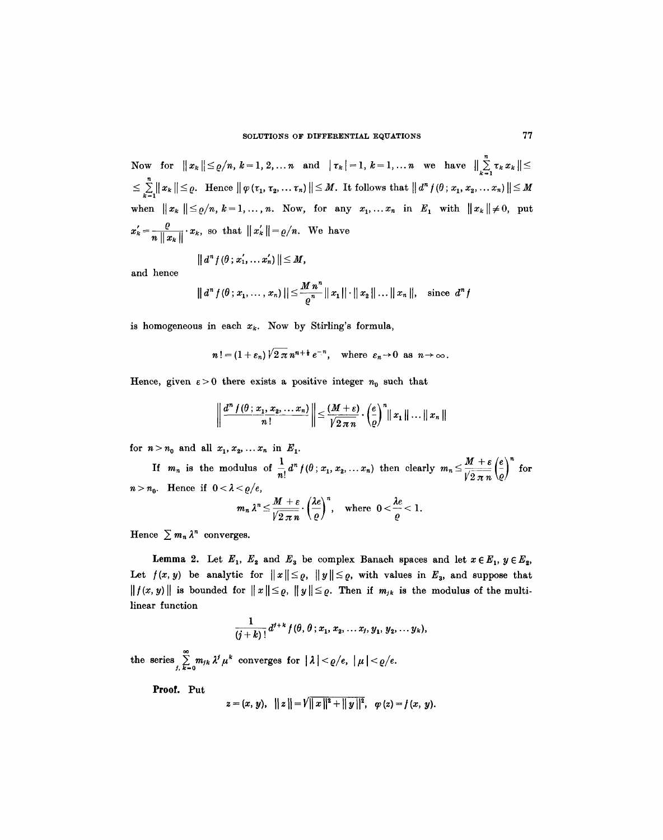Now for  $||x_k|| \leq \varrho/n, k=1, 2, ... n$  and  $|\tau_k|=1, k=1,... n$  we have  $||\sum_{k=1}^{n} \tau_k x_k|| \leq$  $\leq \sum_{k=1}^n ||x_k|| \leq \varrho$ . Hence  $||\varphi(\tau_1, \tau_2, ..., \tau_n)|| \leq M$ . It follows that  $||d^n f(\theta; x_1, x_2, ..., x_n)|| \leq M$ when  $||x_k|| \leq \varrho/n, k=1,\ldots,n$ . Now, for any  $x_1, \ldots, x_n$  in  $E_1$  with  $||x_k|| \neq 0$ , put  $r'_{k} = \frac{\varrho}{\sqrt{2}}$  $\|u\|$   $\|u\|$  $\frac{1}{\|x\|_{\infty}+1}$   $x_k$ , so that  $\|x_k\| = e/n$ . We have

$$
|| d^n f(\theta; x_1', \ldots x_n') || \leq M,
$$

and hence

$$
|| d^n f(\theta; x_1, \ldots, x_n) || \leq \frac{M n^n}{\varrho^n} || x_1 || \cdot || x_2 || \ldots || x_n ||, \text{ since } d^n f
$$

is homogeneous in each  $x_k$ . Now by Stirling's formula,

$$
n! = (1+\varepsilon_n)\sqrt{2\pi} n^{n+\frac{1}{2}} e^{-n}, \text{ where } \varepsilon_n \to 0 \text{ as } n \to \infty.
$$

Hence, given  $\epsilon > 0$  there exists a positive integer  $n_0$  such that

$$
\left\|\frac{d^n f(\theta;x_1,x_2,\ldots,x_n)}{n!}\right\| \leq \frac{(M+\varepsilon)}{\sqrt{2\pi n}}\cdot\left(\frac{e}{\varrho}\right)^n\|x_1\|\ldots\|x_n\|
$$

for  $n > n_0$  and all  $x_1, x_2, \ldots, x_n$  in  $E_1$ .

If  $m_n$  is the modulus of  $\frac{1}{n!}d^n f(\theta; x_1, x_2,...,x_n)$  then clearly  $m_n \leq \frac{M+\varepsilon}{\sqrt{2\pi n}}\left(\frac{e}{\theta}\right)^n$  for  $n>n_0$ . Hence if  $0<\lambda<\varrho/e$ ,  $m_n\lambda^n \leq \frac{M+\varepsilon}{\sqrt{2\pi n}} \cdot \left(\frac{\lambda e}{\varrho}\right)^n$ , where  $0 < \frac{\lambda e}{\varrho} < 1$ .

Hence  $\sum m_n \lambda^n$  converges.

Lemma 2. Let  $E_1$ ,  $E_2$  and  $E_3$  be complex Banach spaces and let  $x \in E_1$ ,  $y \in E_2$ , Let  $f(x, y)$  be analytic for  $||x|| \leq \varrho$ ,  $||y|| \leq \varrho$ , with values in  $E_3$ , and suppose that  $||f(x, y)||$  is bounded for  $||x|| \leq \varrho$ ,  $||y|| \leq \varrho$ . Then if  $m_{jk}$  is the modulus of the multilinear function

$$
\frac{1}{(j+k)!}d^{j+k}f(\theta, \theta; x_1, x_2, \ldots x_j, y_1, y_2, \ldots y_k),
$$

the series  $\sum_{j,k=0} m_{jk} \lambda^j \mu^k$  converges for  $|\lambda| < \varrho/e$ ,  $|\mu| < \varrho/e$ .

**Proof. Put** 

$$
z=(x, y), \ \ \|z\|=\sqrt{\|x\|^2+\|y\|^2}, \ \ \varphi(z)=f(x, y).
$$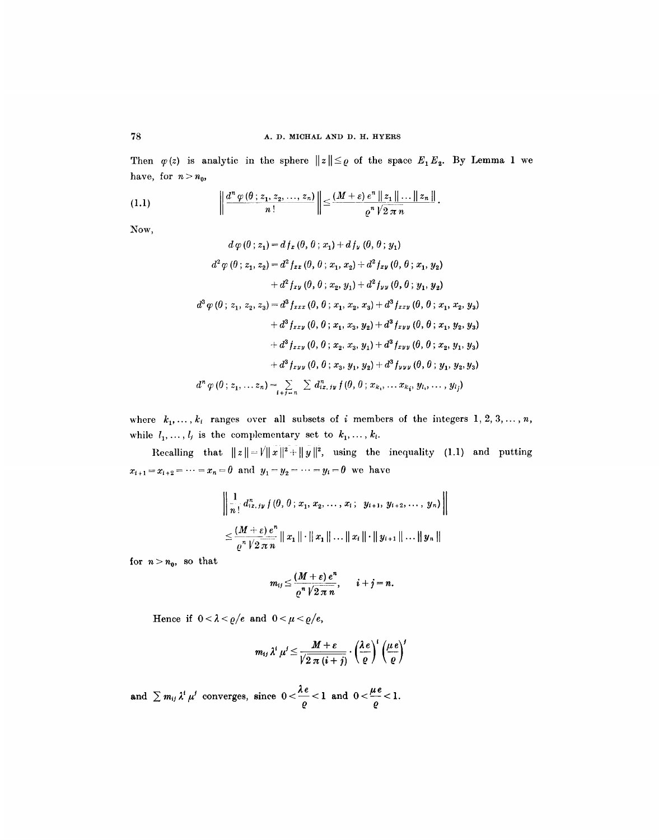Then  $\varphi(z)$  is analytic in the sphere  $||z|| \leq \varrho$  of the space  $E_1 E_2$ . By Lemma 1 we have, for  $n > n_0$ ,

(1.1) 
$$
\left\|\frac{d^n \varphi(\theta; z_1, z_2, \ldots, z_n)}{n!}\right\| \leq \frac{(M+\varepsilon) e^n \left\|z_1\right\| \ldots \left\|z_n\right\|}{\varrho^n \sqrt{2 \pi n}}.
$$

Now,

$$
d \varphi (0; z_1) = d f_x (0, 0; x_1) + d f_y (0, 0; y_1)
$$
  
\n
$$
d^2 \varphi (0; z_1, z_2) = d^2 f_{xx} (0, 0; x_1, x_2) + d^2 f_{xy} (0, 0; x_1, y_2)
$$
  
\n
$$
+ d^2 f_{xy} (0, 0; x_2, y_1) + d^2 f_{yy} (0, 0; y_1, y_2)
$$
  
\n
$$
d^3 \varphi (0; z_1, z_2, z_3) = d^3 f_{xxx} (0, 0; x_1, x_2, x_3) + d^3 f_{xxy} (0, 0; x_1, x_2, y_3)
$$
  
\n
$$
+ d^3 f_{xxy} (0, 0; x_1, x_3, y_2) + d^3 f_{xyy} (0, 0; x_1, y_2, y_3)
$$
  
\n
$$
+ d^3 f_{xxy} (0, 0; x_2, x_3, y_1) + d^3 f_{xyy} (0, 0; x_2, y_1, y_3)
$$
  
\n
$$
+ d^3 f_{xyy} (0, 0; x_3, y_1, y_2) + d^3 f_{yyy} (0, 0; y_1, y_2, y_3)
$$
  
\n
$$
d^n \varphi (0; z_1, ... z_n) = \sum_{i+j=n} \sum d_{ix,jy}^n f(0, 0; x_k, ... x_{ki}, y_{l_i}, ... , y_{l_j})
$$

where  $k_1, \ldots, k_t$  ranges over all subsets of i members of the integers  $1, 2, 3, \ldots, n$ , while  $l_1, \ldots, l_j$  is the complementary set to  $k_1, \ldots, k_t$ .

Recalling that  $||z||=V||x||^2+||y||^2$ , using the inequality (1.1) and putting  $x_{i+1} = x_{i+2} = \cdots = x_n = 0$  and  $y_1 = y_2 = \cdots = y_i = 0$  we have

$$
\left\| \frac{1}{n!} d_{ix, iy}^n f(\theta, \theta; x_1, x_2, \dots, x_i; y_{i+1}, y_{i+2}, \dots, y_n) \right\|
$$
  

$$
\leq \frac{(M+\varepsilon) e^n}{e^n V 2 \pi n} \|x_1\| \cdot \|x_1\| \dots \|x_i\| \cdot \|y_{i+1}\| \dots \|y_n\|
$$

for  $n>n_0$ , so that

$$
m_{ij} \leq \frac{(M+\varepsilon)\,e^n}{\varrho^n\sqrt{2\,\pi\,n}}, \qquad i+j=n.
$$

Hence if  $0 < \lambda < \varrho/e$  and  $0 < \mu < \varrho/e$ ,

$$
m_{ij} \lambda^i \mu^j \leq \frac{M+\varepsilon}{\sqrt{2 \pi (i+j)}} \cdot \left(\frac{\lambda e}{\varrho}\right)^i \left(\frac{\mu e}{\varrho}\right)^j
$$

and  $\sum m_{ij} \lambda^i \mu^j$  converges, since  $0 < \frac{d\mu}{\rho} < 1$  and  $0 < \frac{d\mu}{\rho} < 1$ .

78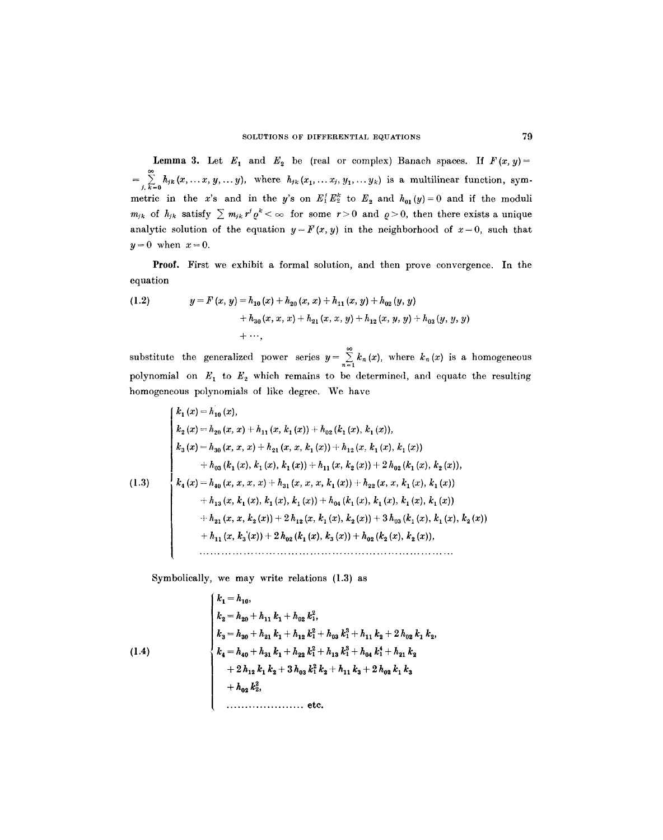**Lemma 3.** Let  $E_1$  and  $E_2$  be (real or complex) Banach spaces. If  $F(x, y) =$  $=\sum_{j,k=0}^{\infty} h_{jk}(x,\ldots x,y,\ldots y)$ , where  $h_{jk}(x_1,\ldots x_j,y_1,\ldots y_k)$  is a multilinear function, symmetric in the x's and in the y's on  $E_1^t E_2^k$  to  $E_2$  and  $h_{01}(y)=0$  and if the moduli  $m_{jk}$  of  $h_{jk}$  satisfy  $\sum m_{jk} r^j \varrho^k < \infty$  for some  $r>0$  and  $\varrho>0$ , then there exists a unique analytic solution of the equation  $y = F(x, y)$  in the neighborhood of  $x = 0$ , such that  $y=0$  when  $x=0$ .

Proof. First we exhibit a formal solution, and then prove convergence. In the equation

(1.2) 
$$
y = F(x, y) = h_{10}(x) + h_{20}(x, x) + h_{11}(x, y) + h_{02}(y, y) + h_{30}(x, x, x) + h_{21}(x, x, y) + h_{12}(x, y, y) + h_{03}(y, y, y) + \cdots
$$

substitute the generalized power series  $y = \sum_{n=1}^{\infty} k_n(x)$ , where  $k_n(x)$  is a homogeneous polynomial on  $E_1$  to  $E_2$  which remains to be determined, and equate the resulting homogeneous polynomials of like degree. We have

$$
\begin{cases}\nk_1(x) = h_{10}(x), \\
k_2(x) = h_{20}(x, x) + h_{11}(x, k_1(x)) + h_{02}(k_1(x), k_1(x)), \\
k_3(x) = h_{30}(x, x, x) + h_{21}(x, x, k_1(x)) + h_{12}(x, k_1(x), k_1(x)) \\
+ h_{03}(k_1(x), k_1(x), k_1(x)) + h_{11}(x, k_2(x)) + 2h_{02}(k_1(x), k_2(x)), \\
k_4(x) = h_{40}(x, x, x, x) + h_{31}(x, x, x, k_1(x)) + h_{22}(x, x, k_1(x), k_1(x)) \\
+ h_{13}(x, k_1(x), k_1(x), k_1(x)) + h_{04}(k_1(x), k_1(x), k_1(x), k_1(x)) \\
+ h_{21}(x, x, k_2(x)) + 2h_{12}(x, k_1(x), k_2(x)) + 3h_{03}(k_1(x), k_1(x), k_2(x)) \\
+ h_{11}(x, k_3(x)) + 2h_{02}(k_1(x), k_3(x)) + h_{02}(k_2(x), k_2(x)), \\
&\dots\n\end{cases}
$$

Symbolically, we may write relations (1.3) **as** 

(1.4)  
\n
$$
\begin{cases}\nk_1 = h_{10}, \\
k_2 = h_{20} + h_{11} k_1 + h_{02} k_1^2, \\
k_3 = h_{30} + h_{21} k_1 + h_{12} k_1^2 + h_{03} k_1^3 + h_{11} k_2 + 2 h_{02} k_1 k_2, \\
k_4 = h_{40} + h_{31} k_1 + h_{22} k_1^2 + h_{13} k_1^3 + h_{04} k_1^4 + h_{21} k_2 \\
+ 2 h_{12} k_1 k_2 + 3 h_{03} k_1^2 k_2 + h_{11} k_3 + 2 h_{02} k_1 k_3 \\
+ h_{02} k_2^2, \\
&\dots \\
&\text{etc.}\n\end{cases}
$$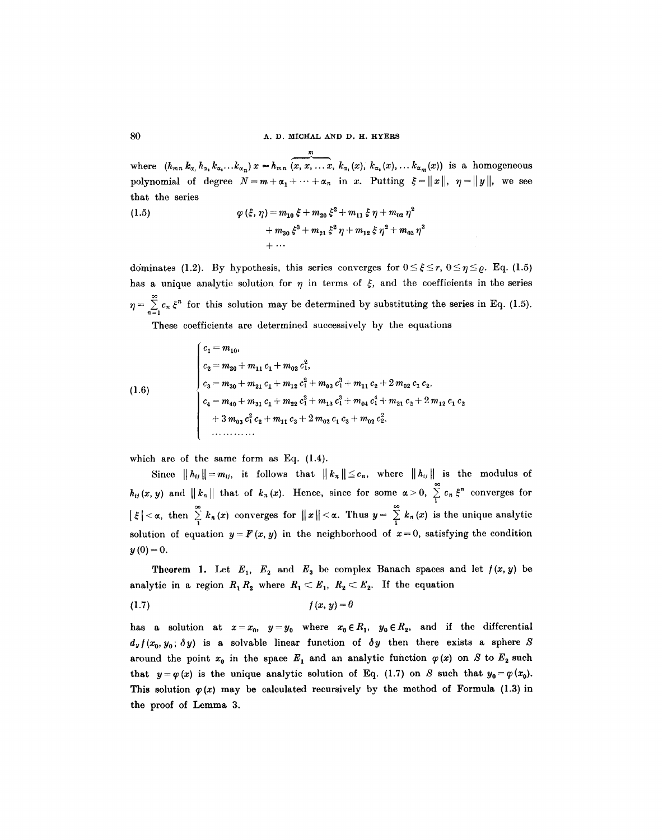~0 A. D. MICHAL AND D. H. **HYERS** 

 $\tilde{\tilde{\cdot} }$ where  $(h_{mn} k_{\alpha_1} h_{\alpha_2} k_{\alpha_3} \ldots k_{\alpha_n}) x = h_{mn} (x, x, \ldots x, k_{\alpha_1}(x), k_{\alpha_2}(x), \ldots k_{\alpha_m}(x))$  is a homogeneous polynomial of degree  $N=m+\alpha_1+\cdots+\alpha_n$  in x. Putting  $\xi=\|x\|, \eta=\|y\|$ , we see that the series

(1.5) 
$$
\varphi(\xi, \eta) = m_{10} \xi + m_{20} \xi^2 + m_{11} \xi \eta + m_{02} \eta^2 + m_{30} \xi^3 + m_{21} \xi^2 \eta + m_{12} \xi \eta^2 + m_{03} \eta^3 + \cdots
$$

dominates (1.2). By hypothesis, this series converges for  $0 \leq \xi \leq r$ ,  $0 \leq \eta \leq \varrho$ . Eq. (1.5) has a unique analytic solution for  $\eta$  in terms of  $\xi$ , and the coefficients in the series  $\eta = \sum_{n=0}^{\infty} c_n \xi^n$  for this solution may be determined by substituting the series in Eq. (1.5).

These coefficients are determined successively by the equations

(1.6)  

$$
\begin{cases}\nc_1 = m_{10}, \\
c_2 = m_{20} + m_{11} c_1 + m_{02} c_1^2, \\
c_3 = m_{30} + m_{21} c_1 + m_{12} c_1^2 + m_{03} c_1^3 + m_{11} c_2 + 2 m_{02} c_1 c_2, \\
c_4 = m_{40} + m_{31} c_1 + m_{22} c_1^2 + m_{13} c_1^3 + m_{04} c_1^4 + m_{21} c_2 + 2 m_{12} c_1 c_2 \\
+ 3 m_{03} c_1^2 c_2 + m_{11} c_3 + 2 m_{02} c_1 c_3 + m_{02} c_2^2,\n\end{cases}
$$

which are of the same form as Eq. (1.4).

Since  $||h_{ij}||=m_{ij}$ , it follows that  $||k_n||\leq c_n$ , where  $||h_{ij}||$  is the modulus of  $h_{ij}(x, y)$  and  $||k_n||$  that of  $k_n(x)$ . Hence, since for some  $\alpha > 0$ ,  $\sum_{i} c_n \xi^n$  converges for  $|\xi| < \alpha$ , then  $\sum_{1} k_n(x)$  converges for  $||x|| < \alpha$ . Thus  $y = \sum_{1} k_n(x)$  is the unique analytic solution of equation  $y = F(x, y)$  in the neighborhood of  $x = 0$ , satisfying the condition  $y(0) = 0.$ 

**Theorem 1.** Let  $E_1$ ,  $E_2$  and  $E_3$  be complex Banach spaces and let  $f(x, y)$  be analytic in a region  $R_1R_2$  where  $R_1 < E_1$ ,  $R_2 < E_2$ . If the equation

$$
(1.7) \t\t f(x, y) = \theta
$$

has a solution at  $x=x_0$ ,  $y=y_0$  where  $x_0\in R_1$ ,  $y_0\in R_2$ , and if the differential  $d_y f(x_0, y_0; \delta y)$  is a solvable linear function of  $\delta y$  then there exists a sphere S around the point  $x_0$  in the space  $E_1$  and an analytic function  $\varphi(x)$  on S to  $E_2$  such that  $y = \varphi(x)$  is the unique analytic solution of Eq. (1.7) on S such that  $y_0 = \varphi(x_0)$ . This solution  $\varphi(x)$  may be calculated recursively by the method of Formula (1.3) in the proof of Lemma 3.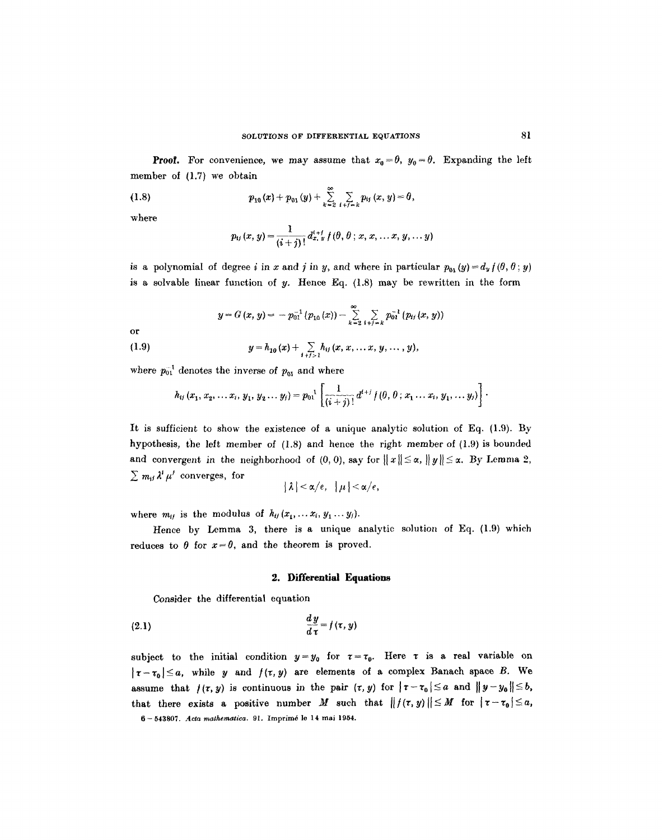**Proof.** For convenience, we may assume that  $x_0 = \theta$ ,  $y_0 = \theta$ . Expanding the left member of (1.7) we obtain

(1.8) 
$$
p_{10}(x) + p_{01}(y) + \sum_{k=2}^{\infty} \sum_{i+j=k} p_{ij}(x, y) = \theta,
$$

where

$$
p_{ij}(x, y) = \frac{1}{(i+j)!} d_{x, y}^{i+j} f(\theta, \theta; x, x, \ldots x, y, \ldots y)
$$

is a polynomial of degree i in x and j in y, and where in particular  $p_{01}(y) = d_y f(\theta, \theta; y)$ is a solvable linear function of y. Hence Eq.  $(1.8)$  may be rewritten in the form

$$
y = G(x, y) = -p_{01}^{-1} (p_{10}(x)) - \sum_{k=2}^{\infty} \sum_{i+j=k} p_{01}^{-1} (p_{ij}(x, y))
$$
  
or  
(1.9) 
$$
y = h_{10}(x) + \sum_{i+j>1} h_{ij}(x, x, ..., x, y, ..., y),
$$

where  $p_{01}^{-1}$  denotes the inverse of  $p_{01}$  and where

$$
h_{ij}(x_1, x_2, \ldots x_i, y_1, y_2 \ldots y_j) = p_{01}^{-1} \left[ \frac{1}{(i+j)!} d^{i+j} f(\theta, \theta; x_1 \ldots x_i, y_1, \ldots y_j) \right].
$$

It is sufficient to show the existence of a unique analytic solution of Eq. (1.9). By hypothesis, the left member of  $(1.8)$  and hence the right member of  $(1.9)$  is bounded and convergent in the neighborhood of (0, 0), say for  $||x|| \le \alpha$ ,  $||y|| \le \alpha$ . By Lemma 2,  $\sum m_{if} \lambda^i \mu^i$  converges, for

$$
|\lambda| < \alpha/e, \quad |\mu| < \alpha/e,
$$

where  $m_{ij}$  is the modulus of  $h_{ij}(x_1,\ldots x_i, y_1 \ldots y_j)$ .

Hence by Lemma 3, there is a unique analytic solution of Eq. (1.9) which reduces to  $\theta$  for  $x = \theta$ , and the theorem is proved.

#### **2. Differential Equations**

Consider the differential equation

$$
\frac{dy}{d\tau} = f(\tau, y)
$$

subject to the initial condition  $y=y_0$  for  $\tau=\tau_0$ . Here  $\tau$  is a real variable on  $|\tau-\tau_0|\leq a$ , while y and  $f(\tau,y)$  are elements of a complex Banach space B. We assume that  $f(\tau, y)$  is continuous in the pair  $(\tau, y)$  for  $|\tau - \tau_0| \le a$  and  $||y - y_0|| \le b$ , that there exists a positive number M such that  $||f(\tau, y)|| \leq M$  for  $|\tau - \tau_0| \leq a$ , 6- 543807. Acta *mathematlca.* 91. Imprimd le 14 mai 1954.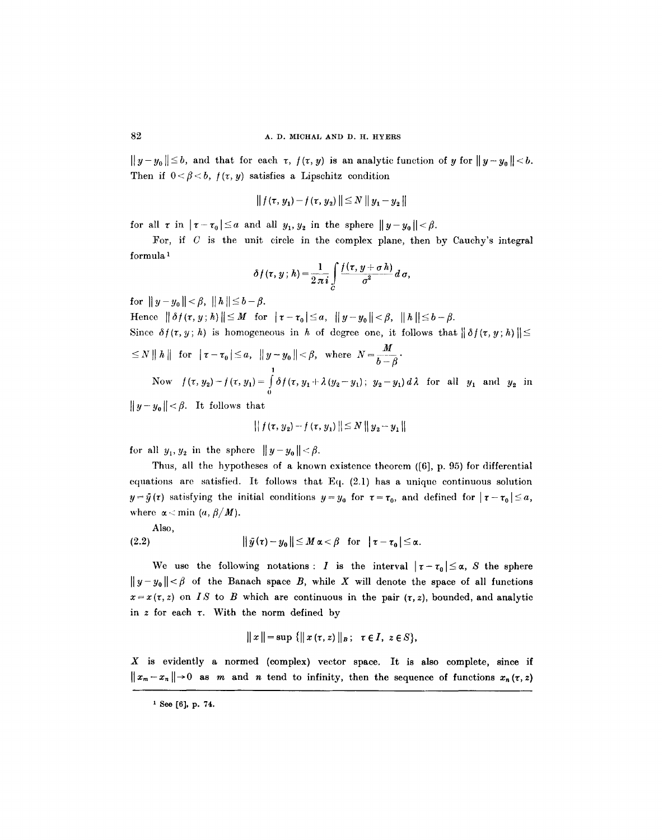$||y-y_0|| \le b$ , and that for each  $\tau$ ,  $f(\tau, y)$  is an analytic function of y for  $||y-y_0|| < b$ . Then if  $0 < \beta < b$ ,  $f(\tau, y)$  satisfies a Lipschitz condition

$$
\| f(\tau, y_1) - f(\tau, y_2) \| \le N \| y_1 - y_2 \|
$$

for all  $\tau$  in  $|\tau-\tau_0|\leq a$  and all  $y_1, y_2$  in the sphere  $||y-y_0||<\beta$ .

For, if  $C$  is the unit circle in the complex plane, then by Cauchy's integral formula 1

$$
\delta f(\tau, y; h) = \frac{1}{2\pi i} \int\limits_C \frac{f(\tau, y + \sigma h)}{\sigma^2} d\,\sigma,
$$

**for**  $||y-y_0|| < \beta, ||h|| \le b-\beta.$ 

Hence  $|| \delta f(\tau, y; h) || \leq M$  for  $|\tau-\tau_0| \leq a$ ,  $|| y - y_0 || < \beta$ ,  $|| h || \leq b - \beta$ . Since  $\delta f(\tau, y; h)$  is homogeneous in h of degree one, it follows that  $\|\delta f(\tau, y; h)\|$  $\leq N \|h\|$  for  $|\tau-\tau_0|\leq a$ ,  $\|y-y_0\|<\beta$ , where  $N=\frac{M}{b-A}$ . *1*  Now  $f(\tau, y_2) - f(\tau, y_1) = \int \delta f(\tau, y_1 + \lambda (y_2 - y_1); y_2 - y_1) d\lambda$  for all  $y_1$  and  $y_2$  in o

 $||y - y_0|| < \beta$ . It follows that

$$
\left\| f(\tau, y_2) - f(\tau, y_1) \right\| \leq N \left\| y_2 - y_1 \right\|
$$

for all  $y_1, y_2$  in the sphere  $||y - y_0|| < \beta$ .

Thus, all the hypotheses of a known existence theorem ([6], p. 95) for differential equations are satisfied. It follows that Eq. (2.1) has a unique continuous solution  $y=\bar{y}(\tau)$  satisfying the initial conditions  $y=y_0$  for  $\tau=\tau_0$ , and defined for  $|\tau-\tau_0|\leq a$ , where  $\alpha$  < min *(a,*  $\beta/M$ *)*.

Also,

$$
(2.2) \t\t\t\t ||\bar{y}(\tau)-y_0|| \leq M \alpha < \beta \quad \text{for} \quad |\tau-\tau_0| \leq \alpha.
$$

We use the following notations: I is the interval  $|\tau-\tau_0|\leq\alpha$ , S the sphere  $||y-y_0|| < \beta$  of the Banach space B, while X will denote the space of all functions  $x=x(\tau,z)$  on *IS* to *B* which are continuous in the pair  $(\tau,z)$ , bounded, and analytic in  $z$  for each  $\tau$ . With the norm defined by

$$
\|x\| = \sup \{ \|x(\tau, z)\|_{B}; \ \tau \in I, \ z \in S \},\
$$

X is evidently a normed (complex) vector space. It is also complete, since if  $||x_{m}-x_{n}||\rightarrow 0$  as m and n tend to infinity, then the sequence of functions  $x_{n}(\tau,z)$ 

 $1$  See [6], p. 74.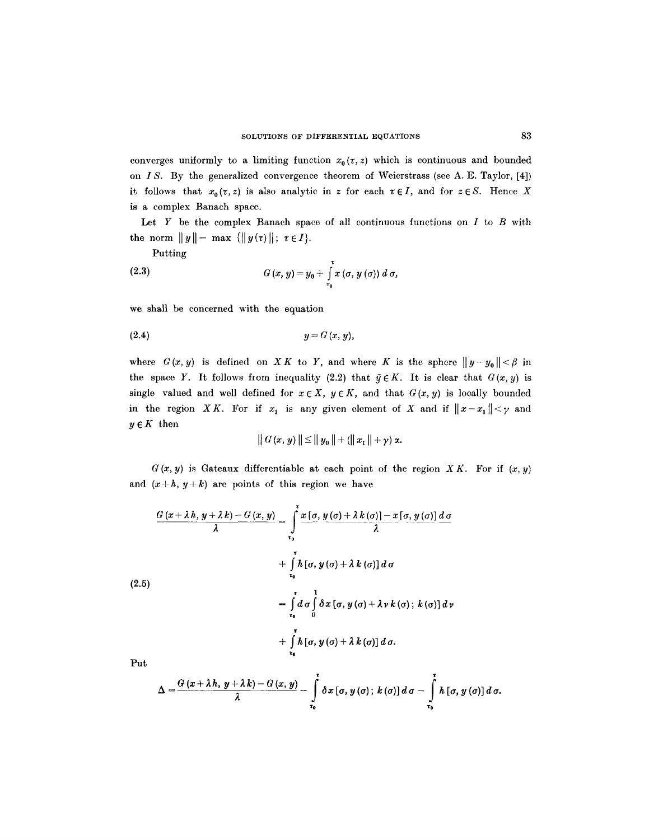converges uniformly to a limiting function  $x_0(\tau, z)$  which is continuous and bounded on *IS.* By the generalized convergence theorem of Weierstrass (see A. E. Taylor, [4]) it follows that  $x_0(\tau, z)$  is also analytic in z for each  $\tau \in I$ , and for  $z \in S$ . Hence X is a complex Banach space.

Let  $Y$  be the complex Banach space of all continuous functions on  $I$  to  $B$  with the norm  $||y|| = \max \{||y(\tau)||; \tau \in I\}.$ 

**Putting** 

(2.3) 
$$
G(x, y) = y_0 + \int_{\tau_0}^{\tau} x(\sigma, y(\sigma)) d\sigma,
$$

we shall be concerned with the equation

$$
(2.4) \t\t y = G(x, y),
$$

where  $G(x, y)$  is defined on XK to Y, and where K is the sphere  $||y - y_0|| < \beta$  in the space Y. It follows from inequality (2.2) that  $\bar{y} \in K$ . It is clear that  $G(x, y)$  is single valued and well defined for  $x \in X$ ,  $y \in K$ , and that  $G(x, y)$  is locally bounded in the region XK. For if  $x_1$  is any given element of X and if  $||x-x_1|| < \gamma$  and  $y \in K$  then

$$
\|G(x, y)\| \le \|y_0\| + (\|x_1\| + \gamma) \alpha.
$$

 $G(x, y)$  is Gateaux differentiable at each point of the region *XK*. For if  $(x, y)$ and  $(x+h, y+k)$  are points of this region we have

$$
\frac{G(x+\lambda h, y+\lambda k)-G(x, y)}{\lambda} = \int_{\tau_0}^{\tau} \frac{x[\sigma, y(\sigma)+\lambda k(\sigma)]-x[\sigma, y(\sigma)] d\sigma}{\lambda}
$$
  
+ 
$$
\int_{\tau_0}^{\tau} h[\sigma, y(\sigma)+\lambda k(\sigma)] d\sigma
$$
  
(2.5)  
= 
$$
\int_{\tau_0}^{\tau} d\sigma \int_{0}^1 \delta x[\sigma, y(\sigma)+\lambda v k(\sigma); k(\sigma)] d\nu
$$
  
+ 
$$
\int_{\tau_0}^{\tau} h[\sigma, y(\sigma)+\lambda k(\sigma)] d\sigma.
$$
  
Put

Put

$$
\Delta = \frac{G(x + \lambda h, y + \lambda k) - G(x, y)}{\lambda} - \int_{\tau_0}^{\tau} \delta x [\sigma, y(\sigma); k(\sigma)] d\sigma - \int_{\tau_0}^{\tau} h [\sigma, y(\sigma)] d\sigma.
$$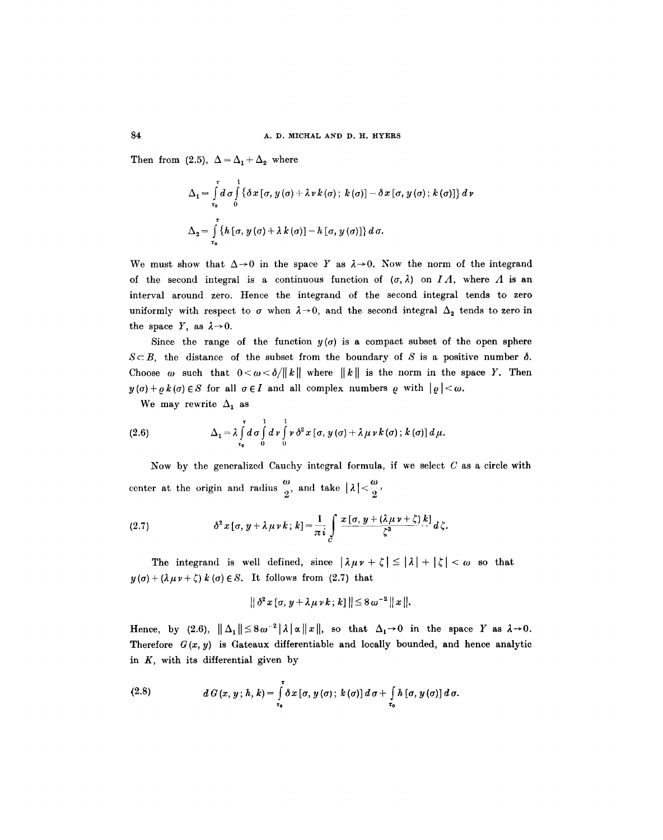Then from (2.5),  $\Delta = \Delta_1 + \Delta_2$  where

$$
\Delta_1 = \int_{\tau_0}^{\tau} d\sigma \int_{0}^{1} {\{\delta x [\sigma, y(\sigma) + \lambda v k(\sigma); k(\sigma)] - \delta x [\sigma, y(\sigma); k(\sigma)]\} d\nu}
$$
  

$$
\Delta_2 = \int_{\tau_0}^{\tau} {\{h [\sigma, y(\sigma) + \lambda k(\sigma)] - h [\sigma, y(\sigma)]\} d\sigma}.
$$

We must show that  $\Delta \rightarrow 0$  in the space Y as  $\lambda \rightarrow 0$ . Now the norm of the integrand of the second integral is a continuous function of  $(\sigma, \lambda)$  on *I A*, where *A* is an interval around zero. Hence the integrand of the second integral tends to zero uniformly with respect to  $\sigma$  when  $\lambda \rightarrow 0$ , and the second integral  $\Delta_2$  tends to zero in the space Y, as  $\lambda \rightarrow 0$ .

Since the range of the function  $y(\sigma)$  is a compact subset of the open sphere  $S \subset B$ , the distance of the subset from the boundary of S is a positive number  $\delta$ . Choose  $\omega$  such that  $0 < \omega < \delta / ||k||$  where  $||k||$  is the norm in the space Y. Then  $y(\sigma)+\rho k(\sigma) \in S$  for all  $\sigma \in I$  and all complex numbers  $\rho$  with  $|\rho| < \omega$ .

We may rewrite  $\Delta_1$  as

(2.6) 
$$
\Delta_1 = \lambda \int_{\tau_0}^{\tau} d\sigma \int_{0}^{1} d\nu \int_{0}^{1} \nu \, \delta^2 x [\sigma, y(\sigma) + \lambda \mu \nu k(\sigma); k(\sigma)] d\mu.
$$

Now by the generalized Cauchy integral formula, if we select  $C$  as a circle with center at the origin and radius  $\frac{\omega}{2}$ , and take  $|\lambda| < \frac{\omega}{2}$ ,

(2.7) 
$$
\delta^2 x [\sigma, y + \lambda \mu \nu k; k] = \frac{1}{\pi i} \int_C \frac{x [\sigma, y + (\lambda \mu \nu + \zeta) k]}{\zeta^3} d\zeta.
$$

The integrand is well defined, since  $|\lambda \mu v + \zeta| \leq |\lambda| + |\zeta| < \omega$  so that  $y(\sigma) + (\lambda \mu v + \zeta) k(\sigma) \in S$ . It follows from (2.7) that

$$
\|\,\delta^2\,x\,[\sigma,\,y+\lambda\,\mu\,\nu\,k\,;\,k\,]\,\|\leq 8\,\omega^{-2}\,\| \,x\,\|.
$$

Hence, by (2.6),  $\|\Delta_1\| \leq 8\omega^{-2} |\lambda| \alpha \|x\|$ , so that  $\Delta_1 \rightarrow 0$  in the space Y as  $\lambda \rightarrow 0$ . Therefore  $G(x, y)$  is Gateaux differentiable and locally bounded, and hence analytic in  $K$ , with its differential given by

(2.8) 
$$
d G(x, y; h, k) = \int_{\tau_0}^{\tau} \delta x [\sigma, y(\sigma); k(\sigma)] d\sigma + \int_{\tau_0} h [\sigma, y(\sigma)] d\sigma.
$$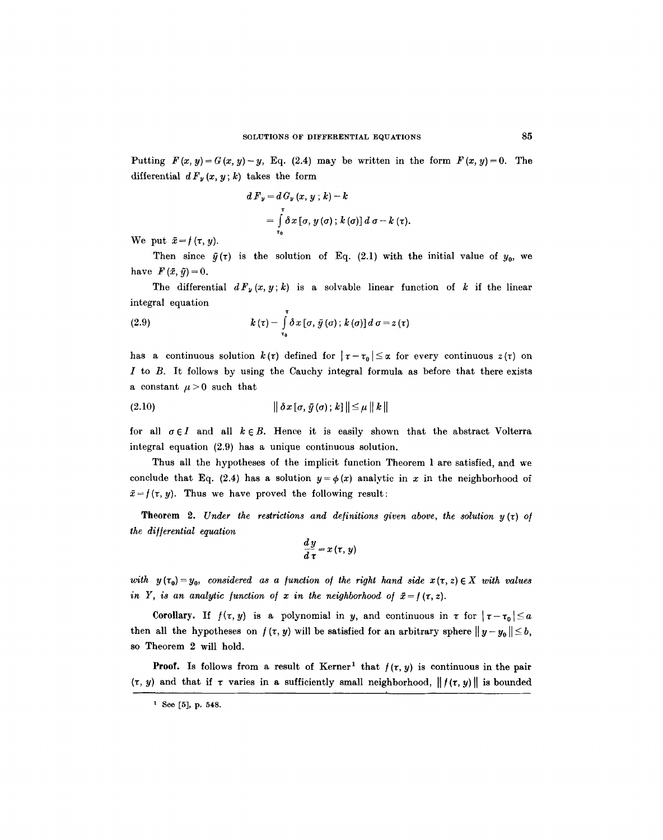Putting  $F(x, y) = G(x, y) - y$ , Eq. (2.4) may be written in the form  $F(x, y) = 0$ . The differential  $d F_y(x, y; k)$  takes the form

$$
d F_y = d G_y (x, y; k) - k
$$
  
= 
$$
\int_{\tau_0}^{\tau} \delta x [\sigma, y(\sigma); k(\sigma)] d \sigma - k (\tau).
$$

We put  $\bar{x} = f(\tau, y)$ .

Then since  $\bar{y}(\tau)$  is the solution of Eq. (2.1) with the initial value of  $y_0$ , we have  $F(\bar{x}, \bar{y}) = 0$ .

The differential  $dF_y(x, y; k)$  is a solvable linear function of k if the linear integral equation

(2.9) 
$$
k(\tau) - \int_{\tau_0}^{\tau} \delta x [\sigma, \bar{y}(\sigma); k(\sigma)] d\sigma = z(\tau)
$$

has a continuous solution  $k(\tau)$  defined for  $|\tau-\tau_0|\leq \alpha$  for every continuous  $z(\tau)$  on  $I$  to  $B$ . It follows by using the Cauchy integral formula as before that there exists a constant  $\mu > 0$  such that

**(2.10) II** (o); **II-< II k II** 

for all  $\sigma \in I$  and all  $k \in B$ . Hence it is easily shown that the abstract Volterra integral equation (2.9) has a unique continuous solution.

Thus all the hypotheses of the implicit function Theorem 1 are satisfied, and we conclude that Eq. (2.4) has a solution  $y = \phi(x)$  analytic in x in the neighborhood of  $\bar{x} = f(\tau, y)$ . Thus we have proved the following result:

**Theorem 2.** *Under the restrictions and definitions given above, the solution*  $y(t)$  *of the di//erential equation* 

$$
\frac{dy}{d\,\tau}=x\,(\tau,\,y)
$$

*with*  $y(\tau_0) = y_0$ , considered as a *function of the right hand side*  $x(\tau, z) \in X$  with values *in Y, is an analytic function of x in the neighborhood of*  $\bar{x} = f(\tau, z)$ *.* 

Corollary. If  $f(\tau, y)$  is a polynomial in y, and continuous in  $\tau$  for  $|\tau-\tau_0|\leq a$ then all the hypotheses on  $f(\tau, y)$  will be satisfied for an arbitrary sphere  $||y - y_0|| \le b$ , so Theorem 2 will hold.

**Proof.** Is follows from a result of Kerner<sup>1</sup> that  $f(x, y)$  is continuous in the pair  $(\tau, y)$  and that if  $\tau$  varies in a sufficiently small neighborhood,  $\|f(\tau, y)\|$  is bounded

<sup>&</sup>lt;sup>1</sup> See [5], p. 548.